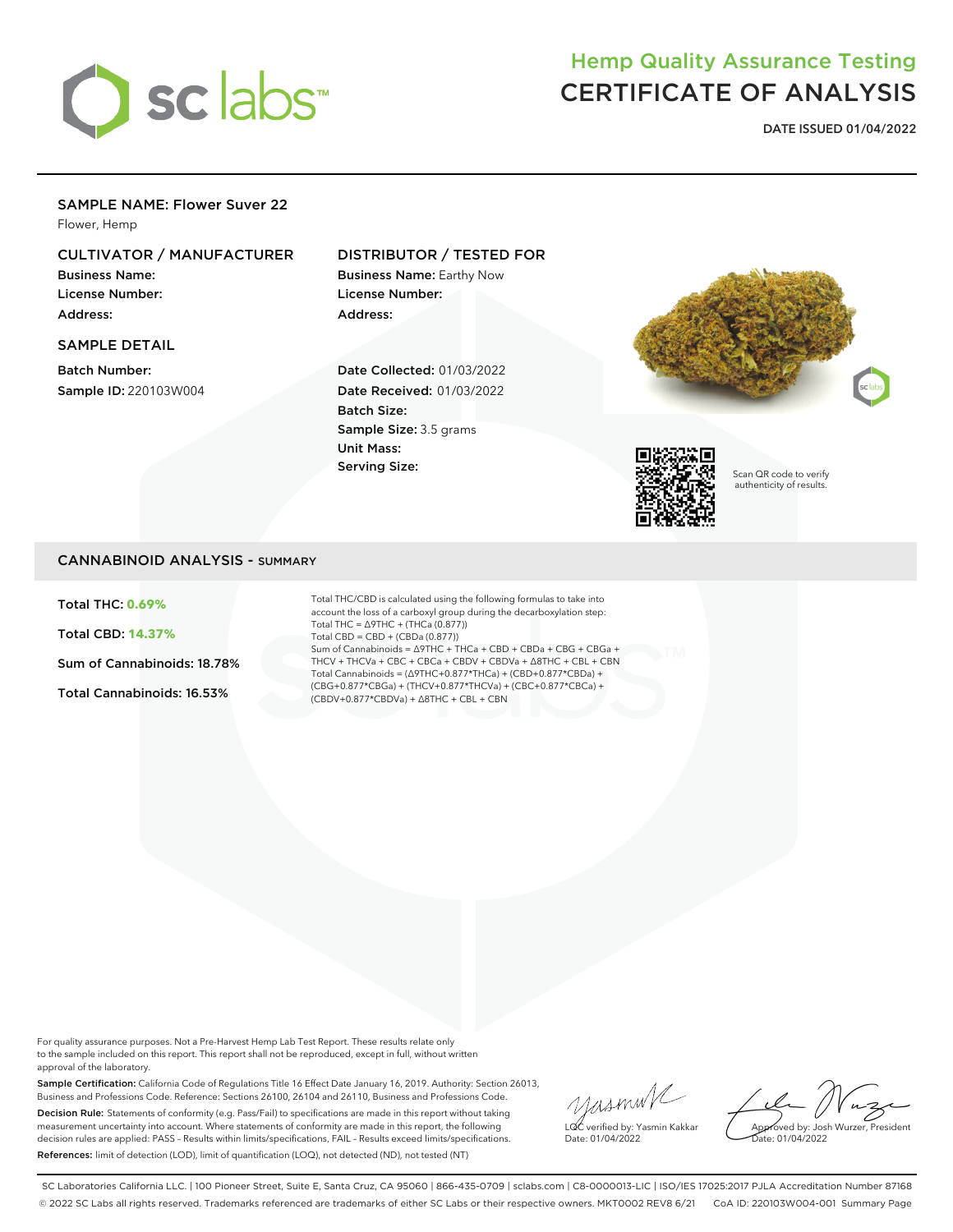

# Hemp Quality Assurance Testing CERTIFICATE OF ANALYSIS

**DATE ISSUED 01/04/2022**

### SAMPLE NAME: Flower Suver 22

Flower, Hemp

# CULTIVATOR / MANUFACTURER

Business Name: License Number: Address:

### SAMPLE DETAIL

Batch Number: Sample ID: 220103W004

## DISTRIBUTOR / TESTED FOR

Business Name: Earthy Now License Number: Address:

Date Collected: 01/03/2022 Date Received: 01/03/2022 Batch Size: Sample Size: 3.5 grams Unit Mass: Serving Size:





Scan QR code to verify authenticity of results.

# CANNABINOID ANALYSIS - SUMMARY

Total THC: **0.69%**

Total CBD: **14.37%**

Sum of Cannabinoids: 18.78%

Total Cannabinoids: 16.53%

Total THC/CBD is calculated using the following formulas to take into account the loss of a carboxyl group during the decarboxylation step: Total THC = ∆9THC + (THCa (0.877)) Total CBD = CBD + (CBDa (0.877)) Sum of Cannabinoids = ∆9THC + THCa + CBD + CBDa + CBG + CBGa + THCV + THCVa + CBC + CBCa + CBDV + CBDVa + ∆8THC + CBL + CBN Total Cannabinoids = (∆9THC+0.877\*THCa) + (CBD+0.877\*CBDa) + (CBG+0.877\*CBGa) + (THCV+0.877\*THCVa) + (CBC+0.877\*CBCa) + (CBDV+0.877\*CBDVa) + ∆8THC + CBL + CBN

For quality assurance purposes. Not a Pre-Harvest Hemp Lab Test Report. These results relate only to the sample included on this report. This report shall not be reproduced, except in full, without written approval of the laboratory.

Sample Certification: California Code of Regulations Title 16 Effect Date January 16, 2019. Authority: Section 26013, Business and Professions Code. Reference: Sections 26100, 26104 and 26110, Business and Professions Code. Decision Rule: Statements of conformity (e.g. Pass/Fail) to specifications are made in this report without taking measurement uncertainty into account. Where statements of conformity are made in this report, the following decision rules are applied: PASS – Results within limits/specifications, FAIL – Results exceed limits/specifications. References: limit of detection (LOD), limit of quantification (LOQ), not detected (ND), not tested (NT)

yusmink LQC verified by: Yasmin Kakkar Date: 01/04/2022

Approved by: Josh Wurzer, President Date: 01/04/2022

SC Laboratories California LLC. | 100 Pioneer Street, Suite E, Santa Cruz, CA 95060 | 866-435-0709 | sclabs.com | C8-0000013-LIC | ISO/IES 17025:2017 PJLA Accreditation Number 87168 © 2022 SC Labs all rights reserved. Trademarks referenced are trademarks of either SC Labs or their respective owners. MKT0002 REV8 6/21 CoA ID: 220103W004-001 Summary Page